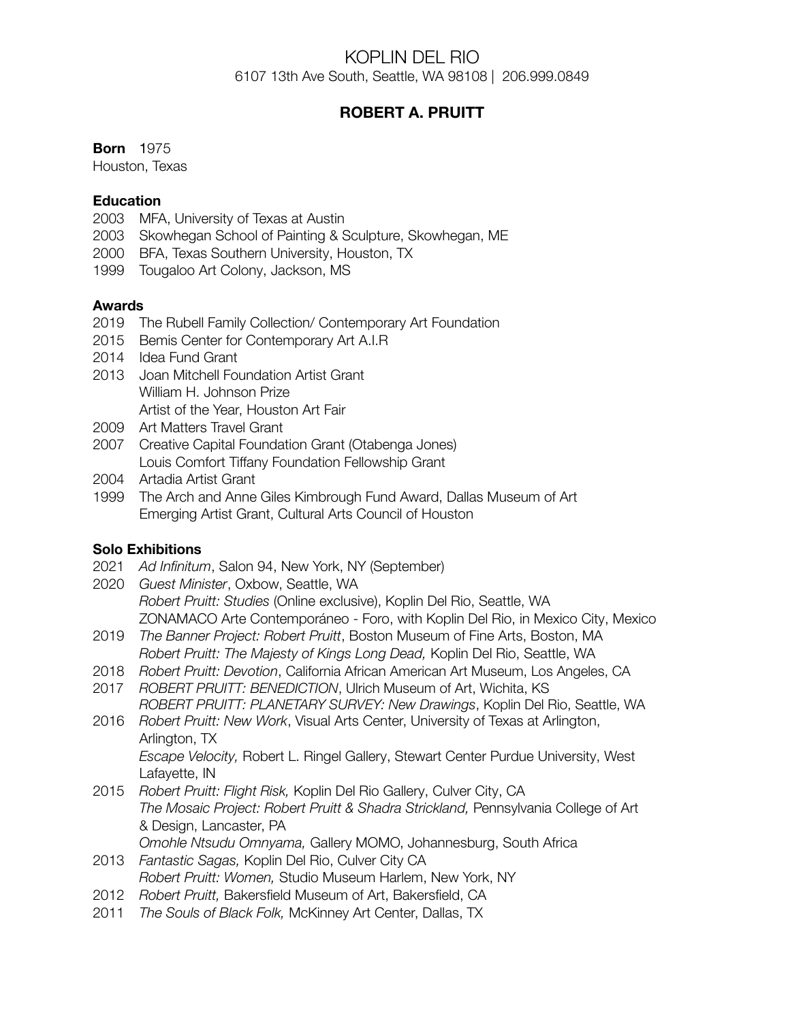## KOPLIN DEL RIO 6107 13th Ave South, Seattle, WA 98108 | 206.999.0849

# **ROBERT A. PRUITT**

#### **Born** 1975

Houston, Texas

### **Education**

- 2003 MFA, University of Texas at Austin
- 2003 Skowhegan School of Painting & Sculpture, Skowhegan, ME
- 2000 BFA, Texas Southern University, Houston, TX
- 1999 Tougaloo Art Colony, Jackson, MS

### **Awards**

- 2019 The Rubell Family Collection/ Contemporary Art Foundation
- 2015 Bemis Center for Contemporary Art A.I.R
- 2014 Idea Fund Grant
- 2013 Joan Mitchell Foundation Artist Grant William H. Johnson Prize Artist of the Year, Houston Art Fair
- 2009 Art Matters Travel Grant
- 2007 Creative Capital Foundation Grant (Otabenga Jones) Louis Comfort Tiffany Foundation Fellowship Grant
- 2004 Artadia Artist Grant
- 1999 The Arch and Anne Giles Kimbrough Fund Award, Dallas Museum of Art Emerging Artist Grant, Cultural Arts Council of Houston

#### **Solo Exhibitions**

- 2021 *Ad Infinitum*, Salon 94, New York, NY (September)
- 2020 *Guest Minister*, Oxbow, Seattle, WA *Robert Pruitt: Studies* (Online exclusive), Koplin Del Rio, Seattle, WA ZONAMACO Arte Contemporáneo - Foro, with Koplin Del Rio, in Mexico City, Mexico
- 2019 *The Banner Project: Robert Pruitt*, Boston Museum of Fine Arts, Boston, MA *Robert Pruitt: The Majesty of Kings Long Dead,* Koplin Del Rio, Seattle, WA
- 2018 *Robert Pruitt: Devotion*, California African American Art Museum, Los Angeles, CA
- 2017 *ROBERT PRUITT: BENEDICTION*, Ulrich Museum of Art, Wichita, KS *ROBERT PRUITT: PLANETARY SURVEY: New Drawings*, Koplin Del Rio, Seattle, WA
- 2016 *Robert Pruitt: New Work*, Visual Arts Center, University of Texas at Arlington, Arlington, TX *Escape Velocity,* Robert L. Ringel Gallery, Stewart Center Purdue University, West Lafayette, IN
- 2015 *Robert Pruitt: Flight Risk,* Koplin Del Rio Gallery, Culver City, CA *The Mosaic Project: Robert Pruitt & Shadra Strickland,* Pennsylvania College of Art & Design, Lancaster, PA *Omohle Ntsudu Omnyama,* Gallery MOMO, Johannesburg, South Africa
- 2013 *Fantastic Sagas,* Koplin Del Rio, Culver City CA *Robert Pruitt: Women,* Studio Museum Harlem, New York, NY
- 2012 *Robert Pruitt,* Bakersfield Museum of Art, Bakersfield, CA
- 2011 *The Souls of Black Folk,* McKinney Art Center, Dallas, TX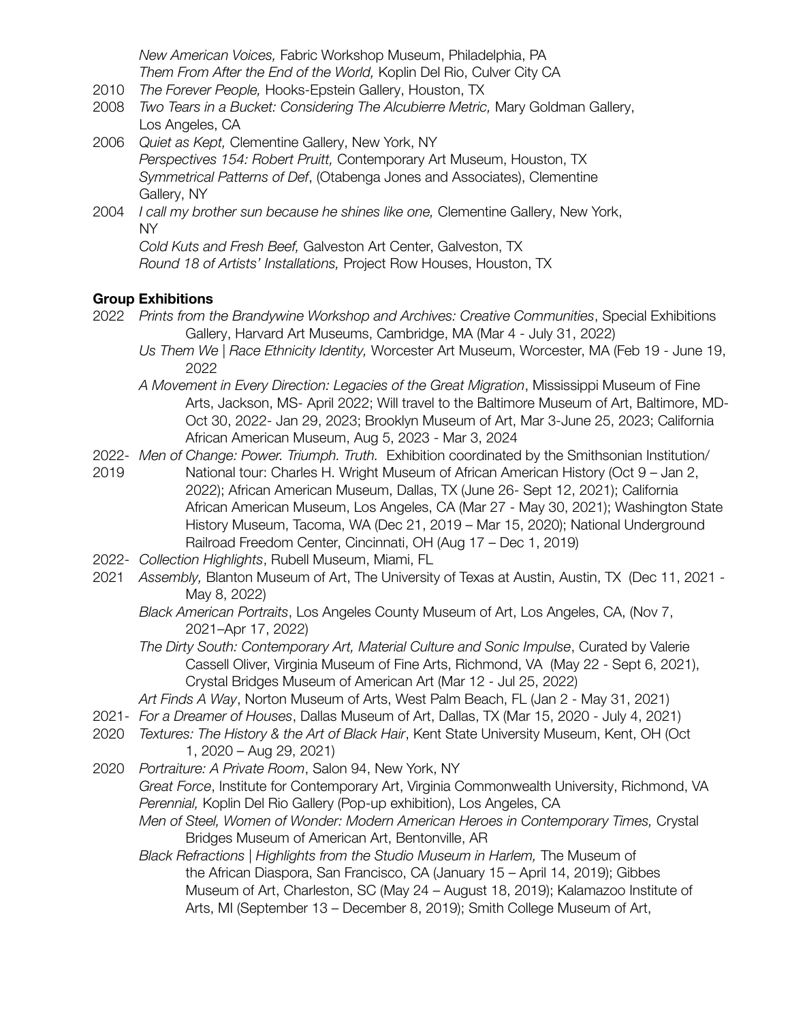*New American Voices,* Fabric Workshop Museum, Philadelphia, PA *Them From After the End of the World,* Koplin Del Rio, Culver City CA

- 2010 *The Forever People,* Hooks-Epstein Gallery, Houston, TX
- 2008 *Two Tears in a Bucket: Considering The Alcubierre Metric,* Mary Goldman Gallery, Los Angeles, CA
- 2006 *Quiet as Kept,* Clementine Gallery, New York, NY *Perspectives 154: Robert Pruitt,* Contemporary Art Museum, Houston, TX *Symmetrical Patterns of Def*, (Otabenga Jones and Associates), Clementine Gallery, NY
- 2004 *I call my brother sun because he shines like one,* Clementine Gallery, New York, NY

*Cold Kuts and Fresh Beef,* Galveston Art Center, Galveston, TX *Round 18 of Artists' Installations,* Project Row Houses, Houston, TX

## **Group Exhibitions**

- 2022 *Prints from the Brandywine Workshop and Archives: Creative Communities*, Special Exhibitions Gallery, Harvard Art Museums, Cambridge, MA (Mar 4 - July 31, 2022)
	- *Us Them We | Race Ethnicity Identity,* Worcester Art Museum, Worcester, MA (Feb 19 June 19, 2022
	- *A Movement in Every Direction: Legacies of the Great Migration*, Mississippi Museum of Fine Arts, Jackson, MS- April 2022; Will travel to the Baltimore Museum of Art, Baltimore, MD-Oct 30, 2022- Jan 29, 2023; Brooklyn Museum of Art, Mar 3-June 25, 2023; California African American Museum, Aug 5, 2023 - Mar 3, 2024
- 2022- *Men of Change: Power. Triumph. Truth.* Exhibition coordinated by the Smithsonian Institution/ 2019 National tour: Charles H. Wright Museum of African American History (Oct 9 – Jan 2, 2022); African American Museum, Dallas, TX (June 26- Sept 12, 2021); California African American Museum, Los Angeles, CA (Mar 27 - May 30, 2021); Washington State History Museum, Tacoma, WA (Dec 21, 2019 – Mar 15, 2020); National Underground Railroad Freedom Center, Cincinnati, OH (Aug 17 – Dec 1, 2019)
- 2022- *Collection Highlights*, Rubell Museum, Miami, FL
- 2021 *Assembly,* Blanton Museum of Art, The University of Texas at Austin, Austin, TX (Dec 11, 2021 May 8, 2022)
	- *Black American Portraits*, Los Angeles County Museum of Art, Los Angeles, CA, (Nov 7, 2021–Apr 17, 2022)
	- *The Dirty South: Contemporary Art, Material Culture and Sonic Impulse*, Curated by Valerie Cassell Oliver, Virginia Museum of Fine Arts, Richmond, VA (May 22 - Sept 6, 2021), Crystal Bridges Museum of American Art (Mar 12 - Jul 25, 2022)
	- *Art Finds A Way*, Norton Museum of Arts, West Palm Beach, FL (Jan 2 May 31, 2021)
- 2021- *For a Dreamer of Houses*, Dallas Museum of Art, Dallas, TX (Mar 15, 2020 July 4, 2021)
- 2020 *Textures: The History & the Art of Black Hair*, Kent State University Museum, Kent, OH (Oct 1, 2020 – Aug 29, 2021)
- 2020 *Portraiture: A Private Room*, Salon 94, New York, NY *Great Force*, Institute for Contemporary Art, Virginia Commonwealth University, Richmond, VA *Perennial,* Koplin Del Rio Gallery (Pop-up exhibition), Los Angeles, CA *Men of Steel, Women of Wonder: Modern American Heroes in Contemporary Times,* Crystal Bridges Museum of American Art, Bentonville, AR
	- *Black Refractions | Highlights from the Studio Museum in Harlem,* The Museum of the African Diaspora, San Francisco, CA (January 15 – April 14, 2019); Gibbes Museum of Art, Charleston, SC (May 24 – August 18, 2019); Kalamazoo Institute of Arts, MI (September 13 – December 8, 2019); Smith College Museum of Art,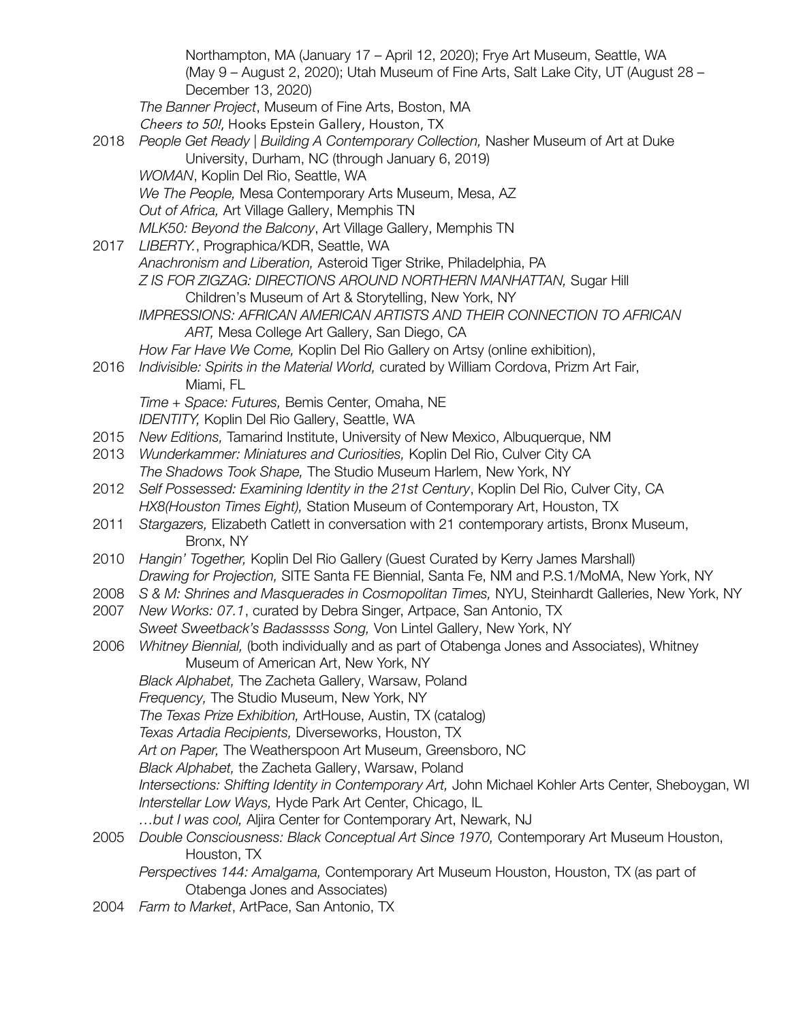Northampton, MA (January 17 – April 12, 2020); Frye Art Museum, Seattle, WA (May 9 – August 2, 2020); Utah Museum of Fine Arts, Salt Lake City, UT (August 28 – December 13, 2020) *The Banner Project*, Museum of Fine Arts, Boston, MA Cheers to 50!, Hooks Epstein Gallery, Houston, TX 2018 *People Get Ready | Building A Contemporary Collection,* Nasher Museum of Art at Duke University, Durham, NC (through January 6, 2019) *WOMAN*, Koplin Del Rio, Seattle, WA *We The People,* Mesa Contemporary Arts Museum, Mesa, AZ *Out of Africa,* Art Village Gallery, Memphis TN *MLK50: Beyond the Balcony*, Art Village Gallery, Memphis TN 2017 *LIBERTY.*, Prographica/KDR, Seattle, WA *Anachronism and Liberation,* Asteroid Tiger Strike, Philadelphia, PA *Z IS FOR ZIGZAG: DIRECTIONS AROUND NORTHERN MANHATTAN,* Sugar Hill Children's Museum of Art & Storytelling, New York, NY *IMPRESSIONS: AFRICAN AMERICAN ARTISTS AND THEIR CONNECTION TO AFRICAN ART,* Mesa College Art Gallery, San Diego, CA *How Far Have We Come,* Koplin Del Rio Gallery on Artsy (online exhibition), 2016 *Indivisible: Spirits in the Material World,* curated by William Cordova, Prizm Art Fair, Miami, FL *Time + Space: Futures,* Bemis Center, Omaha, NE *IDENTITY,* Koplin Del Rio Gallery, Seattle, WA 2015 *New Editions,* Tamarind Institute, University of New Mexico, Albuquerque, NM 2013 *Wunderkammer: Miniatures and Curiosities,* Koplin Del Rio, Culver City CA *The Shadows Took Shape,* The Studio Museum Harlem, New York, NY 2012 *Self Possessed: Examining Identity in the 21st Century*, Koplin Del Rio, Culver City, CA *HX8(Houston Times Eight),* Station Museum of Contemporary Art, Houston, TX 2011 *Stargazers,* Elizabeth Catlett in conversation with 21 contemporary artists, Bronx Museum, Bronx, NY 2010 *Hangin' Together,* Koplin Del Rio Gallery (Guest Curated by Kerry James Marshall) *Drawing for Projection,* SITE Santa FE Biennial, Santa Fe, NM and P.S.1/MoMA, New York, NY 2008 *S & M: Shrines and Masquerades in Cosmopolitan Times,* NYU, Steinhardt Galleries, New York, NY 2007 *New Works: 07.1*, curated by Debra Singer, Artpace, San Antonio, TX *Sweet Sweetback's Badasssss Song,* Von Lintel Gallery, New York, NY 2006 *Whitney Biennial,* (both individually and as part of Otabenga Jones and Associates), Whitney Museum of American Art, New York, NY *Black Alphabet,* The Zacheta Gallery, Warsaw, Poland *Frequency,* The Studio Museum, New York, NY *The Texas Prize Exhibition,* ArtHouse, Austin, TX (catalog) *Texas Artadia Recipients,* Diverseworks, Houston, TX *Art on Paper,* The Weatherspoon Art Museum, Greensboro, NC *Black Alphabet,* the Zacheta Gallery, Warsaw, Poland *Intersections: Shifting Identity in Contemporary Art,* John Michael Kohler Arts Center, Sheboygan, WI *Interstellar Low Ways,* Hyde Park Art Center, Chicago, IL *…but I was cool,* Aljira Center for Contemporary Art, Newark, NJ 2005 *Double Consciousness: Black Conceptual Art Since 1970,* Contemporary Art Museum Houston, Houston, TX *Perspectives 144: Amalgama,* Contemporary Art Museum Houston, Houston, TX (as part of Otabenga Jones and Associates) 2004 *Farm to Market*, ArtPace, San Antonio, TX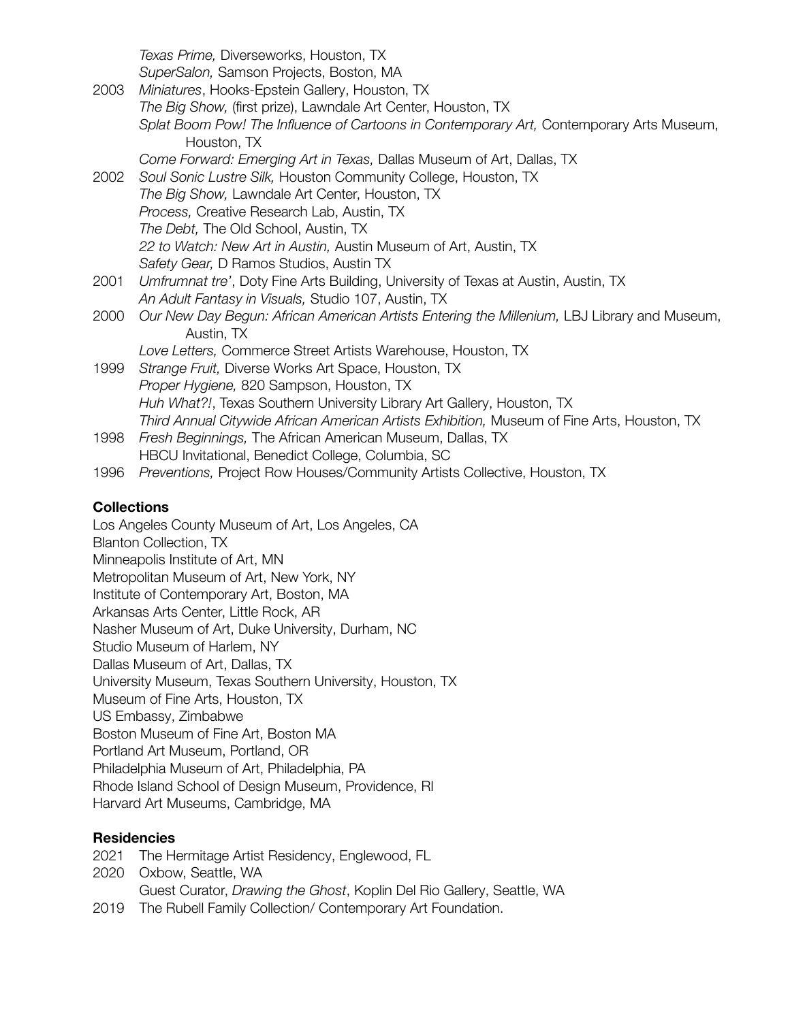*Texas Prime,* Diverseworks, Houston, TX

*SuperSalon,* Samson Projects, Boston, MA 2003 *Miniatures*, Hooks-Epstein Gallery, Houston, TX *The Big Show,* (first prize), Lawndale Art Center, Houston, TX *Splat Boom Pow! The Influence of Cartoons in Contemporary Art,* Contemporary Arts Museum, Houston, TX *Come Forward: Emerging Art in Texas,* Dallas Museum of Art, Dallas, TX 2002 *Soul Sonic Lustre Silk,* Houston Community College, Houston, TX *The Big Show,* Lawndale Art Center, Houston, TX *Process,* Creative Research Lab, Austin, TX *The Debt,* The Old School, Austin, TX *22 to Watch: New Art in Austin,* Austin Museum of Art, Austin, TX *Safety Gear,* D Ramos Studios, Austin TX 2001 *Umfrumnat tre'*, Doty Fine Arts Building, University of Texas at Austin, Austin, TX *An Adult Fantasy in Visuals,* Studio 107, Austin, TX 2000 *Our New Day Begun: African American Artists Entering the Millenium,* LBJ Library and Museum, Austin, TX *Love Letters,* Commerce Street Artists Warehouse, Houston, TX 1999 *Strange Fruit,* Diverse Works Art Space, Houston, TX *Proper Hygiene,* 820 Sampson, Houston, TX *Huh What?!*, Texas Southern University Library Art Gallery, Houston, TX *Third Annual Citywide African American Artists Exhibition,* Museum of Fine Arts, Houston, TX 1998 *Fresh Beginnings,* The African American Museum, Dallas, TX HBCU Invitational, Benedict College, Columbia, SC 1996 *Preventions,* Project Row Houses/Community Artists Collective, Houston, TX

### **Collections**

Los Angeles County Museum of Art, Los Angeles, CA Blanton Collection, TX Minneapolis Institute of Art, MN Metropolitan Museum of Art, New York, NY Institute of Contemporary Art, Boston, MA Arkansas Arts Center, Little Rock, AR Nasher Museum of Art, Duke University, Durham, NC Studio Museum of Harlem, NY Dallas Museum of Art, Dallas, TX University Museum, Texas Southern University, Houston, TX Museum of Fine Arts, Houston, TX US Embassy, Zimbabwe Boston Museum of Fine Art, Boston MA Portland Art Museum, Portland, OR Philadelphia Museum of Art, Philadelphia, PA Rhode Island School of Design Museum, Providence, RI Harvard Art Museums, Cambridge, MA

## **Residencies**

2021 The Hermitage Artist Residency, Englewood, FL

2020 Oxbow, Seattle, WA Guest Curator, *Drawing the Ghost*, Koplin Del Rio Gallery, Seattle, WA 2019 The Rubell Family Collection/ Contemporary Art Foundation.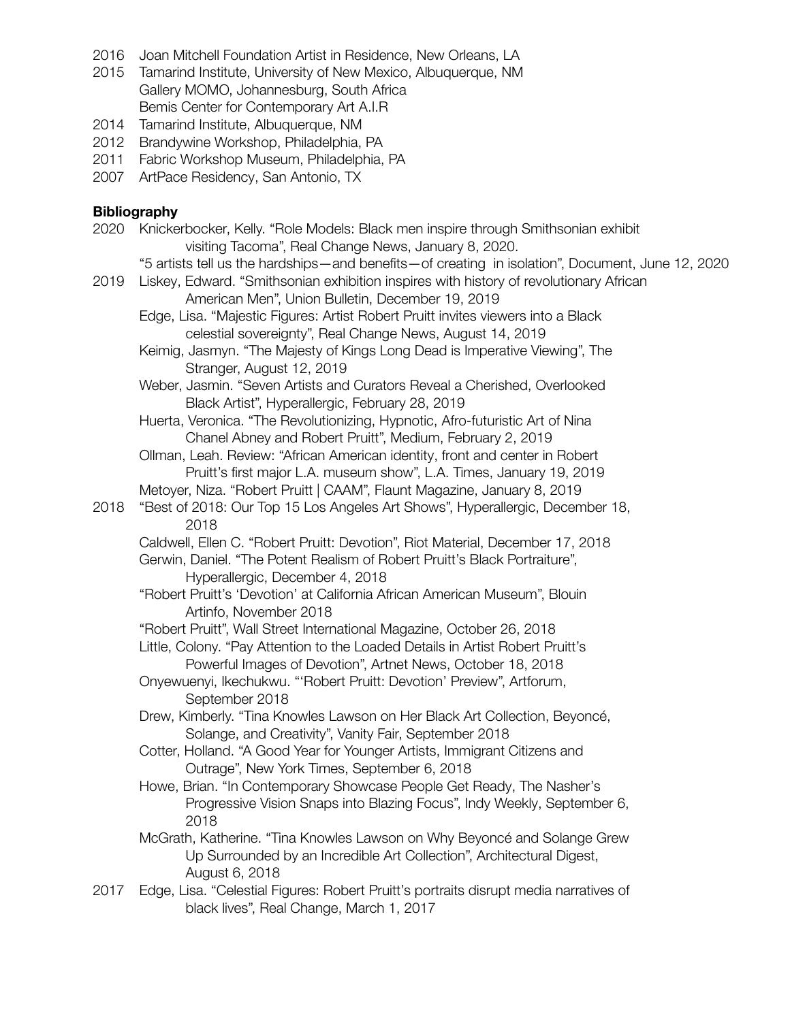- 2016 Joan Mitchell Foundation Artist in Residence, New Orleans, LA
- 2015 Tamarind Institute, University of New Mexico, Albuquerque, NM Gallery MOMO, Johannesburg, South Africa Bemis Center for Contemporary Art A.I.R
- 2014 Tamarind Institute, Albuquerque, NM
- 2012 Brandywine Workshop, Philadelphia, PA
- 2011 Fabric Workshop Museum, Philadelphia, PA
- 2007 ArtPace Residency, San Antonio, TX

#### **Bibliography**

- 2020 Knickerbocker, Kelly. "Role Models: Black men inspire through Smithsonian exhibit visiting Tacoma", Real Change News, January 8, 2020.
	- "5 artists tell us the hardships—and benefits—of creating in isolation", Document, June 12, 2020
- 2019 Liskey, Edward. "Smithsonian exhibition inspires with history of revolutionary African American Men", Union Bulletin, December 19, 2019
	- Edge, Lisa. "Majestic Figures: Artist Robert Pruitt invites viewers into a Black celestial sovereignty", Real Change News, August 14, 2019
	- Keimig, Jasmyn. "The Majesty of Kings Long Dead is Imperative Viewing", The Stranger, August 12, 2019
	- Weber, Jasmin. "Seven Artists and Curators Reveal a Cherished, Overlooked Black Artist", Hyperallergic, February 28, 2019
	- Huerta, Veronica. "The Revolutionizing, Hypnotic, Afro-futuristic Art of Nina Chanel Abney and Robert Pruitt", Medium, February 2, 2019
	- Ollman, Leah. Review: "African American identity, front and center in Robert Pruitt's first major L.A. museum show", L.A. Times, January 19, 2019
	- Metoyer, Niza. "Robert Pruitt | CAAM", Flaunt Magazine, January 8, 2019
- 2018 "Best of 2018: Our Top 15 Los Angeles Art Shows", Hyperallergic, December 18, 2018
	- Caldwell, Ellen C. "Robert Pruitt: Devotion", Riot Material, December 17, 2018
	- Gerwin, Daniel. "The Potent Realism of Robert Pruitt's Black Portraiture", Hyperallergic, December 4, 2018
	- "Robert Pruitt's 'Devotion' at California African American Museum", Blouin Artinfo, November 2018
	- "Robert Pruitt", Wall Street International Magazine, October 26, 2018
	- Little, Colony. "Pay Attention to the Loaded Details in Artist Robert Pruitt's Powerful Images of Devotion", Artnet News, October 18, 2018
	- Onyewuenyi, Ikechukwu. "'Robert Pruitt: Devotion' Preview", Artforum, September 2018
	- Drew, Kimberly. "Tina Knowles Lawson on Her Black Art Collection, Beyoncé, Solange, and Creativity", Vanity Fair, September 2018
	- Cotter, Holland. "A Good Year for Younger Artists, Immigrant Citizens and Outrage", New York Times, September 6, 2018
	- Howe, Brian. "In Contemporary Showcase People Get Ready, The Nasher's Progressive Vision Snaps into Blazing Focus", Indy Weekly, September 6, 2018
	- McGrath, Katherine. "Tina Knowles Lawson on Why Beyoncé and Solange Grew Up Surrounded by an Incredible Art Collection", Architectural Digest, August 6, 2018
- 2017 Edge, Lisa. "Celestial Figures: Robert Pruitt's portraits disrupt media narratives of black lives", Real Change, March 1, 2017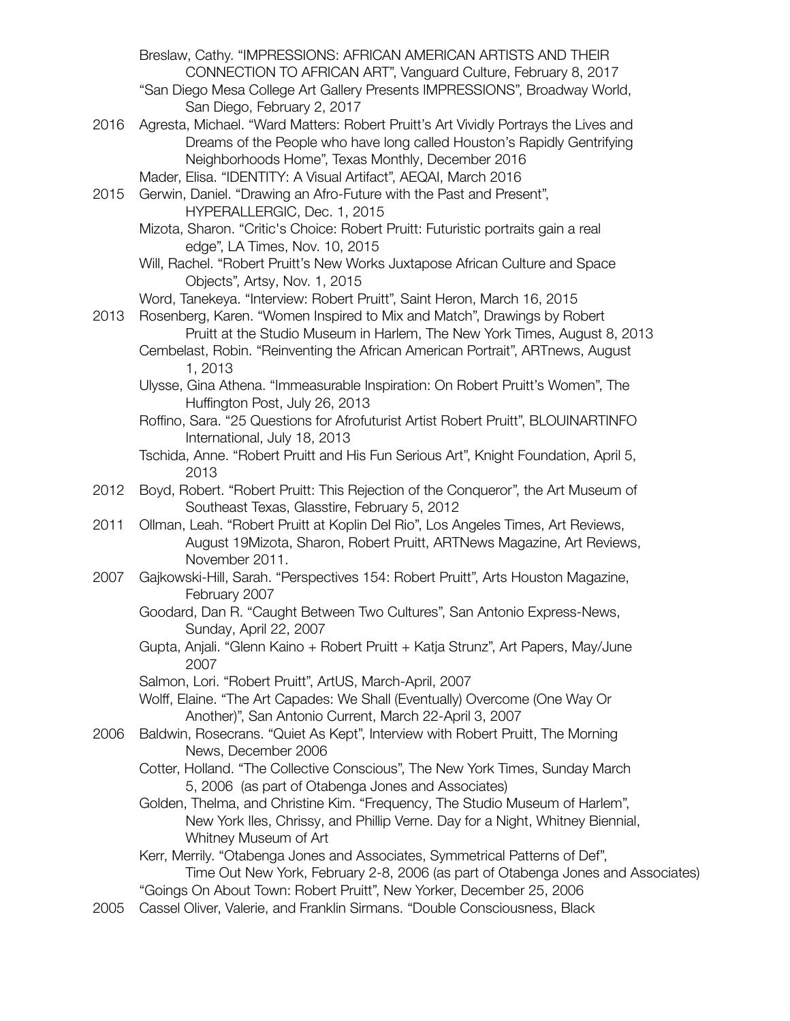Breslaw, Cathy. "IMPRESSIONS: AFRICAN AMERICAN ARTISTS AND THEIR CONNECTION TO AFRICAN ART", Vanguard Culture, February 8, 2017

- "San Diego Mesa College Art Gallery Presents IMPRESSIONS", Broadway World, San Diego, February 2, 2017
- 2016 Agresta, Michael. "Ward Matters: Robert Pruitt's Art Vividly Portrays the Lives and Dreams of the People who have long called Houston's Rapidly Gentrifying Neighborhoods Home", Texas Monthly, December 2016
	- Mader, Elisa. "IDENTITY: A Visual Artifact", AEQAI, March 2016
- 2015 Gerwin, Daniel. "Drawing an Afro-Future with the Past and Present", HYPERALLERGIC, Dec. 1, 2015
	- Mizota, Sharon. "Critic's Choice: Robert Pruitt: Futuristic portraits gain a real edge", LA Times, Nov. 10, 2015
	- Will, Rachel. "Robert Pruitt's New Works Juxtapose African Culture and Space Objects", Artsy, Nov. 1, 2015
	- Word, Tanekeya. "Interview: Robert Pruitt", Saint Heron, March 16, 2015
- 2013 Rosenberg, Karen. "Women Inspired to Mix and Match", Drawings by Robert Pruitt at the Studio Museum in Harlem, The New York Times, August 8, 2013
	- Cembelast, Robin. "Reinventing the African American Portrait", ARTnews, August 1, 2013
		- Ulysse, Gina Athena. "Immeasurable Inspiration: On Robert Pruitt's Women", The Huffington Post, July 26, 2013
		- Roffino, Sara. "25 Questions for Afrofuturist Artist Robert Pruitt", BLOUINARTINFO International, July 18, 2013
		- Tschida, Anne. "Robert Pruitt and His Fun Serious Art", Knight Foundation, April 5, 2013
- 2012 Boyd, Robert. "Robert Pruitt: This Rejection of the Conqueror", the Art Museum of Southeast Texas, Glasstire, February 5, 2012
- 2011 Ollman, Leah. "Robert Pruitt at Koplin Del Rio", Los Angeles Times, Art Reviews, August 19Mizota, Sharon, Robert Pruitt, ARTNews Magazine, Art Reviews, November 2011.
- 2007 Gajkowski-Hill, Sarah. "Perspectives 154: Robert Pruitt", Arts Houston Magazine, February 2007
	- Goodard, Dan R. "Caught Between Two Cultures", San Antonio Express-News, Sunday, April 22, 2007
	- Gupta, Anjali. "Glenn Kaino + Robert Pruitt + Katja Strunz", Art Papers, May/June 2007
	- Salmon, Lori. "Robert Pruitt", ArtUS, March-April, 2007
	- Wolff, Elaine. "The Art Capades: We Shall (Eventually) Overcome (One Way Or Another)", San Antonio Current, March 22-April 3, 2007
- 2006 Baldwin, Rosecrans. "Quiet As Kept", Interview with Robert Pruitt, The Morning News, December 2006
	- Cotter, Holland. "The Collective Conscious", The New York Times, Sunday March 5, 2006 (as part of Otabenga Jones and Associates)
	- Golden, Thelma, and Christine Kim. "Frequency, The Studio Museum of Harlem", New York Iles, Chrissy, and Phillip Verne. Day for a Night, Whitney Biennial, Whitney Museum of Art
	- Kerr, Merrily. "Otabenga Jones and Associates, Symmetrical Patterns of Def", Time Out New York, February 2-8, 2006 (as part of Otabenga Jones and Associates) "Goings On About Town: Robert Pruitt", New Yorker, December 25, 2006
- 2005 Cassel Oliver, Valerie, and Franklin Sirmans. "Double Consciousness, Black